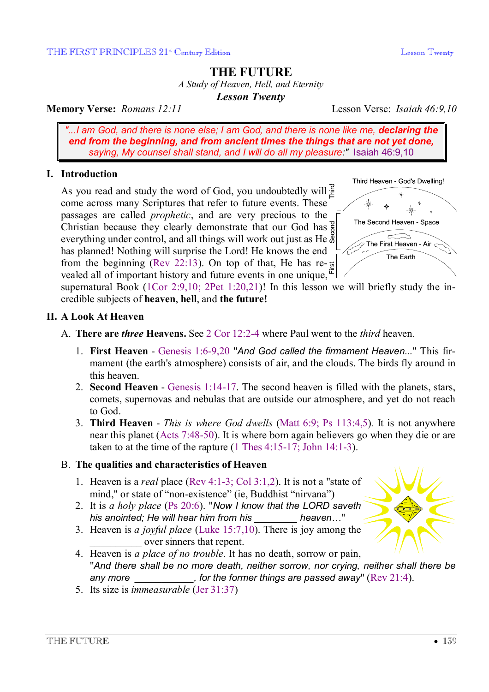# **THE FUTURE**

*A Study of Heaven, Hell, and Eternity* 

*Lesson Twenty* 

### **Memory Verse:** *Romans 12:11* Lesson Verse: *Isaiah 46:9,10*

*"...I am God, and there is none else; I am God, and there is none like me, declaring the end from the beginning, and from ancient times the things that are not yet done, saying, My counsel shall stand, and I will do all my pleasure:"* Isaiah 46:9,10

### **I. Introduction**

As you read and study the word of God, you undoubtedly will<sup>2</sup> come across many Scriptures that refer to future events. These passages are called *prophetic*, and are very precious to the Christian because they clearly demonstrate that our God has everything under control, and all things will work out just as He has planned! Nothing will surprise the Lord! He knows the end from the beginning (Rev 22:13). On top of that, He has re- $\frac{1}{2}$ vealed all of important history and future events in one unique,  $\bar{F}$ 



supernatural Book (1Cor 2:9,10; 2Pet 1:20,21)! In this lesson we will briefly study the incredible subjects of **heaven**, **hell**, and **the future!**

### **II. A Look At Heaven**

- A. **There are** *three* **Heavens.** See 2 Cor 12:2-4 where Paul went to the *third* heaven.
	- 1. **First Heaven** Genesis 1:6-9,20 "*And God called the firmament Heaven...*" This firmament (the earth's atmosphere) consists of air, and the clouds. The birds fly around in this heaven.
	- 2. **Second Heaven** Genesis 1:14-17. The second heaven is filled with the planets, stars, comets, supernovas and nebulas that are outside our atmosphere, and yet do not reach to God.
	- 3. **Third Heaven** *This is where God dwells* (Matt 6:9; Ps 113:4,5)*.* It is not anywhere near this planet (Acts 7:48-50). It is where born again believers go when they die or are taken to at the time of the rapture (1 Thes 4:15-17; John 14:1-3).

### B. **The qualities and characteristics of Heaven**

- 1. Heaven is a *real* place (Rev 4:1-3; Col 3:1,2). It is not a "state of mind," or state of "non-existence" (ie, Buddhist "nirvana")
- 2. It is *a holy place* (Ps 20:6). "*Now I know that the LORD saveth his anointed; He will hear him from his \_\_\_\_\_\_\_\_ heaven…*"
- 3. Heaven is *a joyful place* (Luke 15:7,10). There is joy among the \_\_\_\_\_\_\_\_\_\_ over sinners that repent.



4. Heaven is *a place of no trouble*. It has no death, sorrow or pain, "*And there shall be no more death, neither sorrow, nor crying, neither shall there be any more \_\_\_\_\_\_\_\_\_\_\_, for the former things are passed away*" (Rev 21:4).

5. Its size is *immeasurable* (Jer 31:37)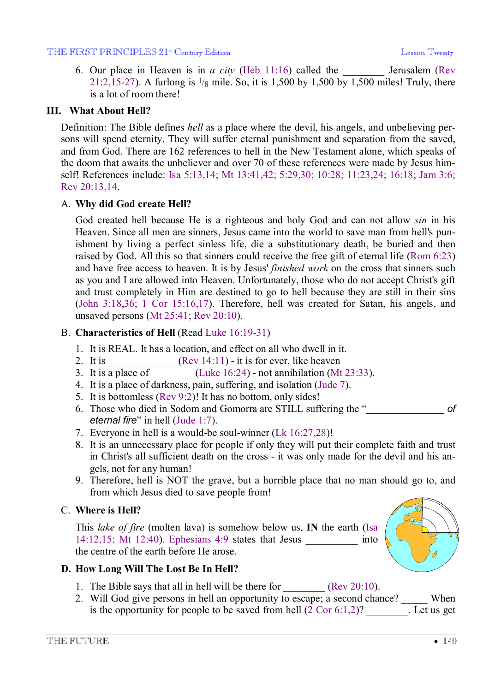#### THE FIRST PRINCIPLES 21<sup>st</sup> Century Edition **Leap Action** Lesson Twenty

6. Our place in Heaven is in *a city* (Heb 11:16) called the Jerusalem (Rev 21:2,15-27). A furlong is  $\frac{1}{8}$  mile. So, it is 1,500 by 1,500 by 1,500 miles! Truly, there is a lot of room there!

#### **III. What About Hell?**

Definition: The Bible defines *hell* as a place where the devil, his angels, and unbelieving persons will spend eternity. They will suffer eternal punishment and separation from the saved, and from God. There are 162 references to hell in the New Testament alone, which speaks of the doom that awaits the unbeliever and over 70 of these references were made by Jesus himself! References include: Isa 5:13,14; Mt 13:41,42; 5:29,30; 10:28; 11:23,24; 16:18; Jam 3:6; Rev 20:13,14.

#### A. **Why did God create Hell?**

God created hell because He is a righteous and holy God and can not allow *sin* in his Heaven. Since all men are sinners, Jesus came into the world to save man from hell's punishment by living a perfect sinless life, die a substitutionary death, be buried and then raised by God. All this so that sinners could receive the free gift of eternal life (Rom 6:23) and have free access to heaven. It is by Jesus' *finished work* on the cross that sinners such as you and I are allowed into Heaven. Unfortunately, those who do not accept Christ's gift and trust completely in Him are destined to go to hell because they are still in their sins (John 3:18,36; 1 Cor 15:16,17). Therefore, hell was created for Satan, his angels, and unsaved persons (Mt 25:41; Rev 20:10).

### B. **Characteristics of Hell** (Read Luke 16:19-31)

- 1. It is REAL. It has a location, and effect on all who dwell in it.
- 2. It is  $(Rev 14:11) it$  it is for ever, like heaven
- 3. It is a place of  $(Luke 16:24)$  not annihilation (Mt 23:33).
- 4. It is a place of darkness, pain, suffering, and isolation (Jude 7).
- 5. It is bottomless (Rev 9:2)! It has no bottom, only sides!
- 6. Those who died in Sodom and Gomorra are STILL suffering the "*\_\_\_\_\_\_\_\_\_\_\_\_\_\_ of eternal fire*" in hell (Jude 1:7).
- 7. Everyone in hell is a would-be soul-winner (Lk 16:27,28)!
- 8. It is an unnecessary place for people if only they will put their complete faith and trust in Christ's all sufficient death on the cross - it was only made for the devil and his angels, not for any human!
- 9. Therefore, hell is NOT the grave, but a horrible place that no man should go to, and from which Jesus died to save people from!

### C. **Where is Hell?**

This *lake of fire* (molten lava) is somehow below us, **IN** the earth (Isa 14:12,15; Mt 12:40). Ephesians 4:9 states that Jesus \_\_\_\_\_\_\_\_\_\_ into the centre of the earth before He arose.



### **D. How Long Will The Lost Be In Hell?**

- 1. The Bible says that all in hell will be there for  $\qquad \qquad$  (Rev 20:10).
- 2. Will God give persons in hell an opportunity to escape; a second chance? When is the opportunity for people to be saved from hell  $(2 \text{ Cor } 6:1,2)$ ? Let us get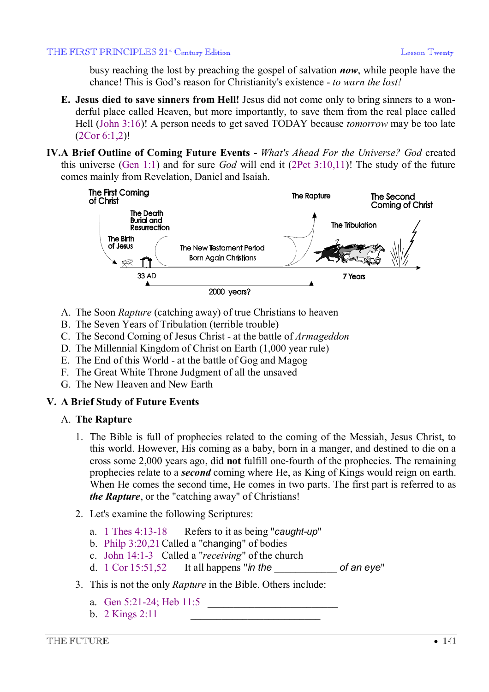busy reaching the lost by preaching the gospel of salvation *now*, while people have the chance! This is God's reason for Christianity's existence - *to warn the lost!*

- **E. Jesus died to save sinners from Hell!** Jesus did not come only to bring sinners to a wonderful place called Heaven, but more importantly, to save them from the real place called Hell (John 3:16)! A person needs to get saved TODAY because *tomorrow* may be too late (2Cor 6:1,2)!
- **IV.A Brief Outline of Coming Future Events** *What's Ahead For the Universe? God* created this universe (Gen 1:1) and for sure *God* will end it (2Pet 3:10,11)! The study of the future comes mainly from Revelation, Daniel and Isaiah.



- A. The Soon *Rapture* (catching away) of true Christians to heaven
- B. The Seven Years of Tribulation (terrible trouble)
- C. The Second Coming of Jesus Christ at the battle of *Armageddon*
- D. The Millennial Kingdom of Christ on Earth (1,000 year rule)
- E. The End of this World at the battle of Gog and Magog
- F. The Great White Throne Judgment of all the unsaved
- G. The New Heaven and New Earth

## **V. A Brief Study of Future Events**

## A. **The Rapture**

- 1. The Bible is full of prophecies related to the coming of the Messiah, Jesus Christ, to this world. However, His coming as a baby, born in a manger, and destined to die on a cross some 2,000 years ago, did **not** fulfill one-fourth of the prophecies. The remaining prophecies relate to a *second* coming where He, as King of Kings would reign on earth. When He comes the second time, He comes in two parts. The first part is referred to as *the Rapture*, or the "catching away" of Christians!
- 2. Let's examine the following Scriptures:
	- a. 1 Thes 4:13-18 Refers to it as being "*caught-up*"
	- b. Philp 3:20,21 Called a "changing" of bodies
	- c. John 14:1-3 Called a "*receiving*" of the church
	- d. 1 Cor 15:51,52 It all happens "*in the* \_\_\_\_\_\_\_\_\_\_\_\_ *of an eye*"
- 3. This is not the only *Rapture* in the Bible. Others include:
	- a. Gen  $5:21-24$ ; Heb  $11:5$
	- b.  $2$  Kings  $2:11$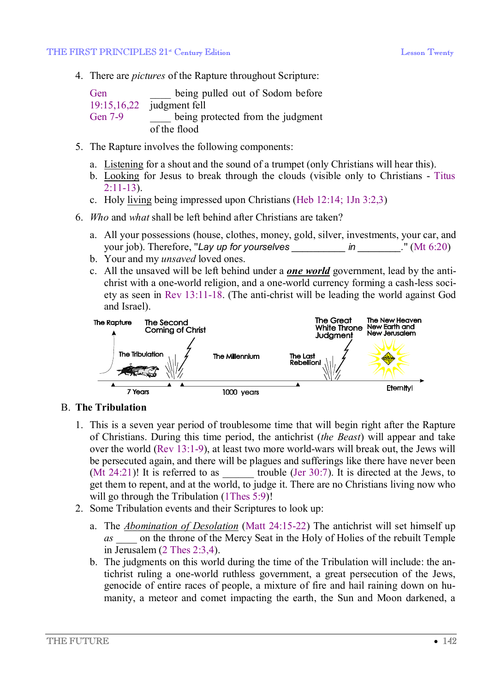4. There are *pictures* of the Rapture throughout Scripture:

| Gen     | being pulled out of Sodom before  |
|---------|-----------------------------------|
|         | $19:15,16,22$ judgment fell       |
| Gen 7-9 | being protected from the judgment |
|         | of the flood                      |

- 5. The Rapture involves the following components:
	- a. Listening for a shout and the sound of a trumpet (only Christians will hear this).
	- b. Looking for Jesus to break through the clouds (visible only to Christians Titus 2:11-13).
	- c. Holy living being impressed upon Christians (Heb 12:14; 1Jn 3:2,3)
- 6. *Who* and *what* shall be left behind after Christians are taken?
	- a. All your possessions (house, clothes, money, gold, silver, investments, your car, and your job). Therefore, "*Lay up for yourselves \_\_\_\_\_\_\_\_\_\_ in \_\_\_\_\_\_\_\_.*" (Mt 6:20)
	- b. Your and my *unsaved* loved ones.
	- c. All the unsaved will be left behind under a *one world* government, lead by the antichrist with a one-world religion, and a one-world currency forming a cash-less society as seen in Rev 13:11-18. (The anti-christ will be leading the world against God and Israel).



### B. **The Tribulation**

- 1. This is a seven year period of troublesome time that will begin right after the Rapture of Christians. During this time period, the antichrist (*the Beast*) will appear and take over the world (Rev 13:1-9), at least two more world-wars will break out, the Jews will be persecuted again, and there will be plagues and sufferings like there have never been (Mt 24:21)! It is referred to as  $\qquad \qquad$  trouble (Jer 30:7). It is directed at the Jews, to get them to repent, and at the world, to judge it. There are no Christians living now who will go through the Tribulation (1Thes 5:9)!
- 2. Some Tribulation events and their Scriptures to look up:
	- a. The *Abomination of Desolation* (Matt 24:15-22) The antichrist will set himself up *as \_\_\_\_* on the throne of the Mercy Seat in the Holy of Holies of the rebuilt Temple in Jerusalem (2 Thes 2:3,4).
	- b. The judgments on this world during the time of the Tribulation will include: the antichrist ruling a one-world ruthless government, a great persecution of the Jews, genocide of entire races of people, a mixture of fire and hail raining down on humanity, a meteor and comet impacting the earth, the Sun and Moon darkened, a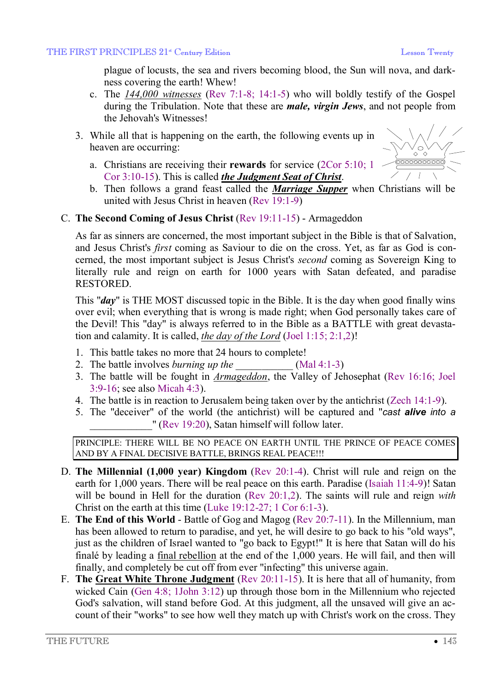$\bigvee_{\diamondsuit} \diamondsuit$  $\overline{\circ\circ\circ\circ\circ\circ\circ\circ\circ}$ 

plague of locusts, the sea and rivers becoming blood, the Sun will nova, and darkness covering the earth! Whew!

- c. The *144,000 witnesses* (Rev 7:1-8; 14:1-5) who will boldly testify of the Gospel during the Tribulation. Note that these are *male, virgin Jews*, and not people from the Jehovah's Witnesses!
- 3. While all that is happening on the earth, the following events up in heaven are occurring:
	- a. Christians are receiving their **rewards** for service (2Cor 5:10; 1 Cor 3:10-15). This is called *the Judgment Seat of Christ*.
	- b. Then follows a grand feast called the *Marriage Supper* when Christians will be united with Jesus Christ in heaven (Rev 19:1-9)

### C. **The Second Coming of Jesus Christ** (Rev 19:11-15) - Armageddon

As far as sinners are concerned, the most important subject in the Bible is that of Salvation, and Jesus Christ's *first* coming as Saviour to die on the cross. Yet, as far as God is concerned, the most important subject is Jesus Christ's *second* coming as Sovereign King to literally rule and reign on earth for 1000 years with Satan defeated, and paradise RESTORED.

This "*day*" is THE MOST discussed topic in the Bible. It is the day when good finally wins over evil; when everything that is wrong is made right; when God personally takes care of the Devil! This "day" is always referred to in the Bible as a BATTLE with great devastation and calamity. It is called, *the day of the Lord* (Joel 1:15; 2:1,2)!

- 1. This battle takes no more that 24 hours to complete!
- 2. The battle involves *burning up the* (Mal 4:1-3)
- 3. The battle will be fought in *Armageddon*, the Valley of Jehosephat (Rev 16:16; Joel 3:9-16; see also Micah 4:3).
- 4. The battle is in reaction to Jerusalem being taken over by the antichrist (Zech 14:1-9).
- 5. The "deceiver" of the world (the antichrist) will be captured and "*cast alive into a* " (Rev 19:20), Satan himself will follow later.

PRINCIPLE: THERE WILL BE NO PEACE ON EARTH UNTIL THE PRINCE OF PEACE COMES AND BY A FINAL DECISIVE BATTLE, BRINGS REAL PEACE!!!

- D. **The Millennial (1,000 year) Kingdom** (Rev 20:1-4). Christ will rule and reign on the earth for 1,000 years. There will be real peace on this earth. Paradise (Isaiah 11:4-9)! Satan will be bound in Hell for the duration (Rev 20:1,2). The saints will rule and reign *with* Christ on the earth at this time (Luke 19:12-27; 1 Cor 6:1-3).
- E. **The End of this World** Battle of Gog and Magog (Rev 20:7-11). In the Millennium, man has been allowed to return to paradise, and yet, he will desire to go back to his "old ways", just as the children of Israel wanted to "go back to Egypt!" It is here that Satan will do his finalé by leading a final rebellion at the end of the 1,000 years. He will fail, and then will finally, and completely be cut off from ever "infecting" this universe again.
- F. **The Great White Throne Judgment** (Rev 20:11-15). It is here that all of humanity, from wicked Cain (Gen 4:8; 1John 3:12) up through those born in the Millennium who rejected God's salvation, will stand before God. At this judgment, all the unsaved will give an account of their "works" to see how well they match up with Christ's work on the cross. They